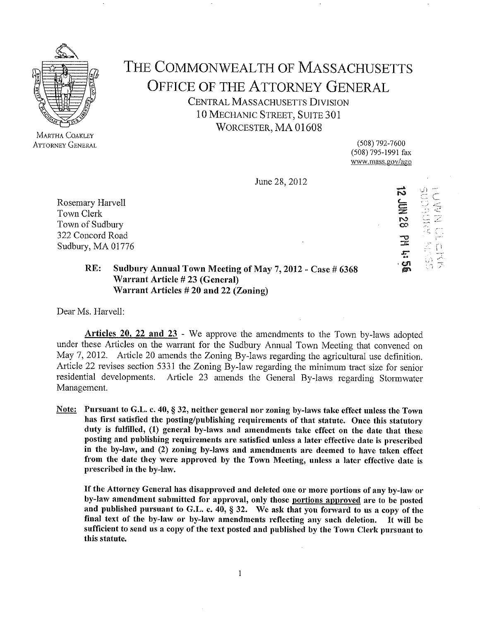

MARTHA COAKLEY ATTORNEY GENERAL THE COMMONWEALTH OF MASSACHUSETTS OFFICE OF THE ATTORNEY GENERAL CENTRAL MASSACHUSETTS DIVISION 10 MECHANIC STREET, SUITE 301 WORCESTER, MA 01608

> (508) 792-7600 (508) 795-1991 fax www.mass.gov/ago

June28,2012

Rosemary Harvell Town Clerk Town of Sudbury 322 Concord Road Sudbury, MA 01776 កាំ $\frac{\omega}{\omega}$ 1- ).':t t--- F .-..t r:-- = ':':1' r\$ t: 7.. gr:  $\frac{1}{x}$  $\leq$  r  $\blacksquare$  $\mathbf{c}$ 

=

## RE: Sudbury Annual Town Meeting of May 7, 2012 - Case # 6368<br>Warrant Article # 23 (General) Warrant Articles  $# 20$  and 22 (Zoning)

Dear Ms. Harvell:

Articles 20. 22 and 23 - We approve the amendments to the Town by-laws adopted under these Articles on the warrant for the Sudbury Annual Town Meeting that convened on May 7,2012. Article 20 amends the Zoning By-laws regarding the agricultural use definition. Article 22 revises section 5331 the Zoning By-law regarding the minimum tract size for senior residential developments. Article 23 amends the General By-laws regarding Stormwater Management.

Note: Pursuant to G.L. c. 40, \$ 32, neither general nor zoning by-laws take effect unless the Town has first satisfied the posting/publishing requirements of that statute. Once this statutory duty is fulfilled, (1) general by-laws and amendments take effect on the date that these posting and publishing requirements are satisfied unless a later effective date is prescribed in the by-law, and (2) zoning by-laws and amendments are deemed to have taken effect from the date they were approved by the Town Meeting, unless a later effective date is prescribed in the by-law.

If the Attorney General has disapproved and deleted one or more portions of any by-law or by-law amendment submitted for approval, only those portions approved are to be posted and published pursuant to G.L. c. 40,  $\S$  32. We ask that you forward to us a copy of the final text of the by-law or by-law amendments reflecting any such deletion. It will be sufficient to send us a copy of the text posted and published by the Town Clerk pursuant to this statute.

 $\mathbf{1}$